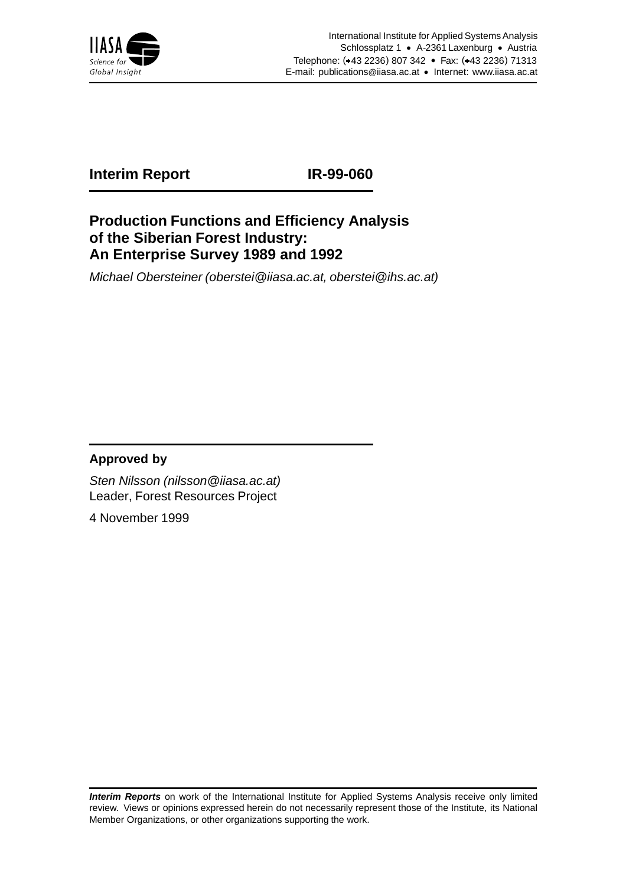

## **Interim Report IR-99-060**

#### **Production Functions and Efficiency Analysis of the Siberian Forest Industry: An Enterprise Survey 1989 and 1992**

Michael Obersteiner (oberstei@iiasa.ac.at, oberstei@ihs.ac.at)

#### **Approved by**

Sten Nilsson (nilsson@iiasa.ac.at) Leader, Forest Resources Project

4 November 1999

**Interim Reports** on work of the International Institute for Applied Systems Analysis receive only limited review. Views or opinions expressed herein do not necessarily represent those of the Institute, its National Member Organizations, or other organizations supporting the work.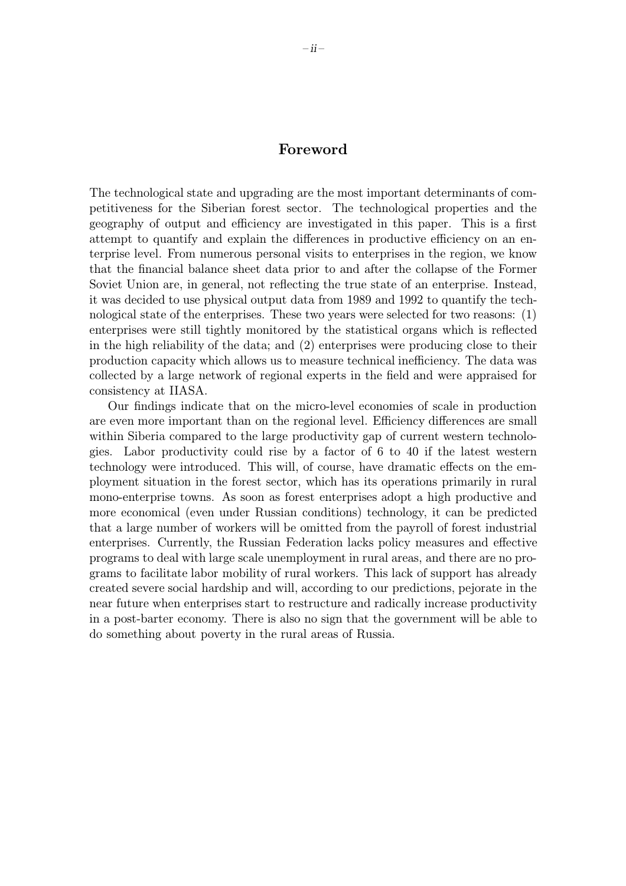#### Foreword

The technological state and upgrading are the most important determinants of competitiveness for the Siberian forest sector. The technological properties and the geography of output and efficiency are investigated in this paper. This is a first attempt to quantify and explain the differences in productive efficiency on an enterprise level. From numerous personal visits to enterprises in the region, we know that the financial balance sheet data prior to and after the collapse of the Former Soviet Union are, in general, not reflecting the true state of an enterprise. Instead, it was decided to use physical output data from 1989 and 1992 to quantify the technological state of the enterprises. These two years were selected for two reasons: (1) enterprises were still tightly monitored by the statistical organs which is reflected in the high reliability of the data; and (2) enterprises were producing close to their production capacity which allows us to measure technical inefficiency. The data was collected by a large network of regional experts in the field and were appraised for consistency at IIASA.

Our findings indicate that on the micro-level economies of scale in production are even more important than on the regional level. Efficiency differences are small within Siberia compared to the large productivity gap of current western technologies. Labor productivity could rise by a factor of 6 to 40 if the latest western technology were introduced. This will, of course, have dramatic effects on the employment situation in the forest sector, which has its operations primarily in rural mono-enterprise towns. As soon as forest enterprises adopt a high productive and more economical (even under Russian conditions) technology, it can be predicted that a large number of workers will be omitted from the payroll of forest industrial enterprises. Currently, the Russian Federation lacks policy measures and effective programs to deal with large scale unemployment in rural areas, and there are no programs to facilitate labor mobility of rural workers. This lack of support has already created severe social hardship and will, according to our predictions, pejorate in the near future when enterprises start to restructure and radically increase productivity in a post-barter economy. There is also no sign that the government will be able to do something about poverty in the rural areas of Russia.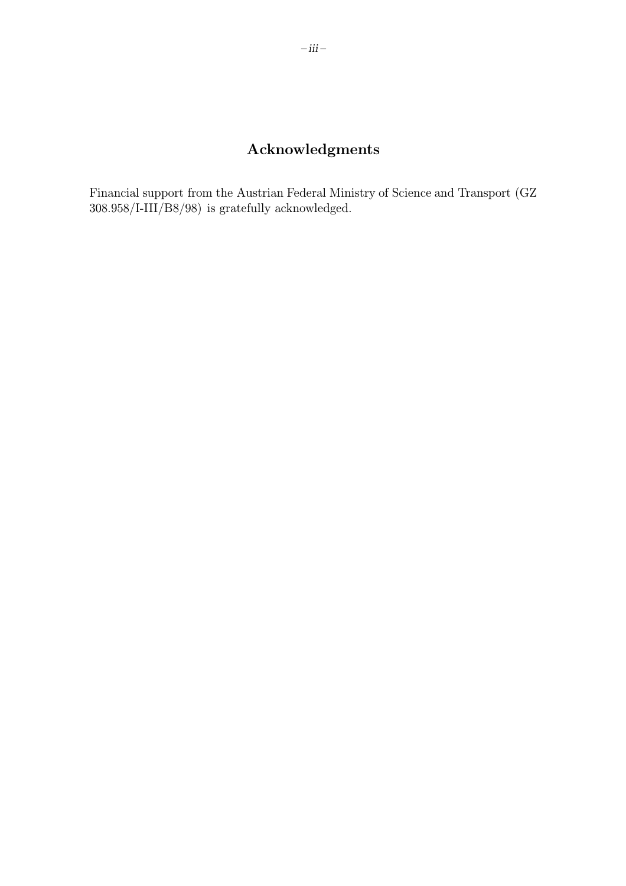## Acknowledgments

Financial support from the Austrian Federal Ministry of Science and Transport (GZ 308.958/I-III/B8/98) is gratefully acknowledged.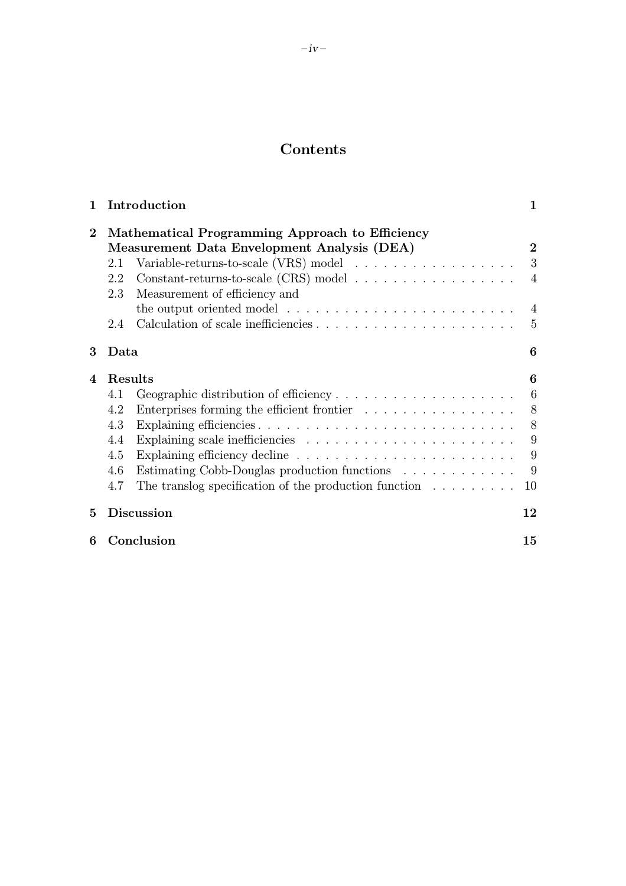## Contents

| 1        | Introduction<br>1                                                                                                                                                                                                                                                                                                                                                                                                                                                |                                       |  |  |  |
|----------|------------------------------------------------------------------------------------------------------------------------------------------------------------------------------------------------------------------------------------------------------------------------------------------------------------------------------------------------------------------------------------------------------------------------------------------------------------------|---------------------------------------|--|--|--|
| $\bf{2}$ | Mathematical Programming Approach to Efficiency<br>Measurement Data Envelopment Analysis (DEA)<br>$\bf{2}$<br>3<br>Variable-returns-to-scale (VRS) model $\ldots \ldots \ldots \ldots \ldots$<br>2.1<br>Constant-returns-to-scale (CRS) model $\ldots \ldots \ldots \ldots \ldots \ldots$<br>2.2<br>$\overline{4}$<br>Measurement of efficiency and<br>2.3<br>the output oriented model $\dots \dots \dots \dots \dots \dots \dots \dots \dots$<br>4<br>5<br>2.4 |                                       |  |  |  |
| 3        | 6<br>Data                                                                                                                                                                                                                                                                                                                                                                                                                                                        |                                       |  |  |  |
| 4        | Results<br>Geographic distribution of efficiency<br>4.1<br>4.2<br>Enterprises forming the efficient frontier $\ldots \ldots \ldots \ldots \ldots$<br>4.3<br>4.4<br>4.5<br>Estimating Cobb-Douglas production functions<br>4.6<br>The translog specification of the production function $\ldots \ldots \ldots$<br>4.7                                                                                                                                             | 6<br>6<br>8<br>8<br>9<br>9<br>9<br>10 |  |  |  |
| 5        | <b>Discussion</b>                                                                                                                                                                                                                                                                                                                                                                                                                                                | 12                                    |  |  |  |
| 6        | Conclusion<br>15                                                                                                                                                                                                                                                                                                                                                                                                                                                 |                                       |  |  |  |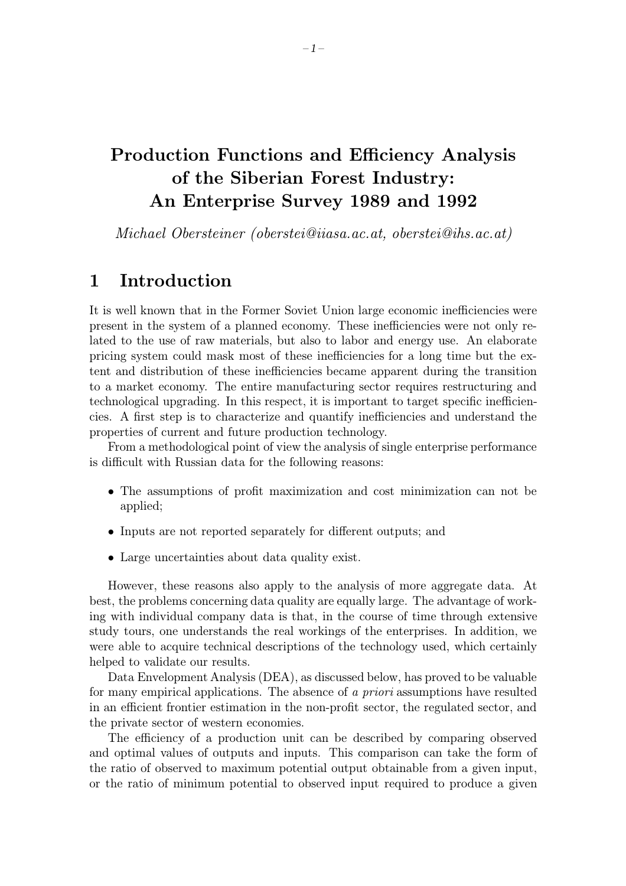# Production Functions and Efficiency Analysis of the Siberian Forest Industry: An Enterprise Survey 1989 and 1992

Michael Obersteiner (oberstei@iiasa.ac.at, oberstei@ihs.ac.at)

# 1 Introduction

It is well known that in the Former Soviet Union large economic inefficiencies were present in the system of a planned economy. These inefficiencies were not only related to the use of rawmaterials, but also to labor and energy use. An elaborate pricing system could mask most of these inefficiencies for a long time but the extent and distribution of these inefficiencies became apparent during the transition to a market economy. The entire manufacturing sector requires restructuring and technological upgrading. In this respect, it is important to target specific inefficiencies. A first step is to characterize and quantify inefficiencies and understand the properties of current and future production technology.

From a methodological point of viewthe analysis of single enterprise performance is difficult with Russian data for the following reasons:

- The assumptions of profit maximization and cost minimization can not be applied;
- Inputs are not reported separately for different outputs; and
- Large uncertainties about data quality exist.

However, these reasons also apply to the analysis of more aggregate data. At best, the problems concerning data quality are equally large. The advantage of working with individual company data is that, in the course of time through extensive study tours, one understands the real workings of the enterprises. In addition, we were able to acquire technical descriptions of the technology used, which certainly helped to validate our results.

Data Envelopment Analysis (DEA), as discussed below, has proved to be valuable for many empirical applications. The absence of a priori assumptions have resulted in an efficient frontier estimation in the non-profit sector, the regulated sector, and the private sector of western economies.

The efficiency of a production unit can be described by comparing observed and optimal values of outputs and inputs. This comparison can take the form of the ratio of observed to maximum potential output obtainable from a given input, or the ratio of minimum potential to observed input required to produce a given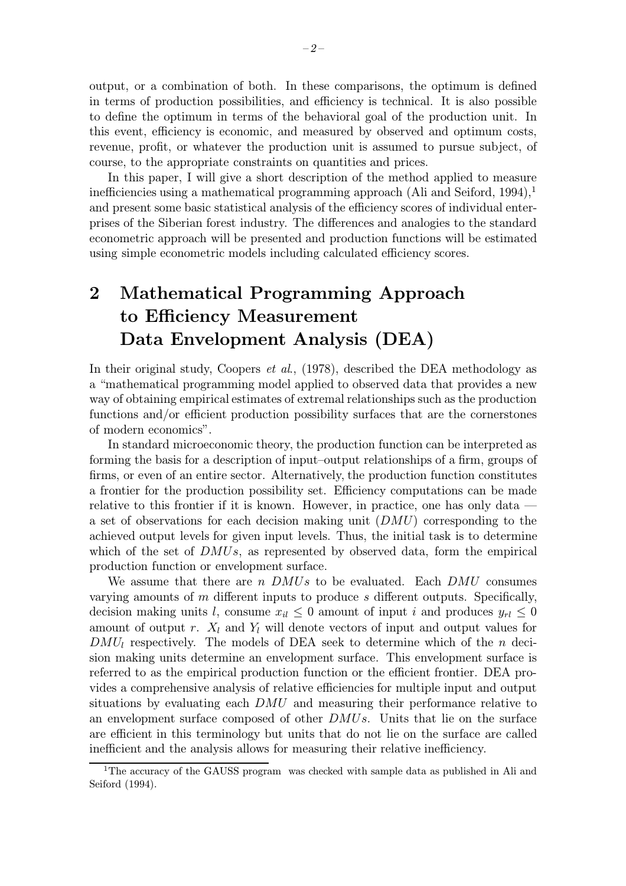output, or a combination of both. In these comparisons, the optimum is defined in terms of production possibilities, and efficiency is technical. It is also possible to define the optimum in terms of the behavioral goal of the production unit. In this event, efficiency is economic, and measured by observed and optimum costs, revenue, profit, or whatever the production unit is assumed to pursue subject, of course, to the appropriate constraints on quantities and prices.

In this paper, I will give a short description of the method applied to measure inefficiencies using a mathematical programming approach (Ali and Seiford, 1994), $<sup>1</sup>$ </sup> and present some basic statistical analysis of the efficiency scores of individual enterprises of the Siberian forest industry. The differences and analogies to the standard econometric approach will be presented and production functions will be estimated using simple econometric models including calculated efficiency scores.

# 2 Mathematical Programming Approach to Efficiency Measurement Data Envelopment Analysis (DEA)

In their original study, Coopers *et al.*, (1978), described the DEA methodology as a "mathematical programming model applied to observed data that provides a new way of obtaining empirical estimates of extremal relationships such as the production functions and/or efficient production possibility surfaces that are the cornerstones of modern economics".

In standard microeconomic theory, the production function can be interpreted as forming the basis for a description of input–output relationships of a firm, groups of firms, or even of an entire sector. Alternatively, the production function constitutes a frontier for the production possibility set. Efficiency computations can be made relative to this frontier if it is known. However, in practice, one has only data a set of observations for each decision making unit  $(DMU)$  corresponding to the achieved output levels for given input levels. Thus, the initial task is to determine which of the set of  $DMUs$ , as represented by observed data, form the empirical production function or envelopment surface.

We assume that there are  $n$  DMUs to be evaluated. Each DMU consumes varying amounts of  $m$  different inputs to produce  $s$  different outputs. Specifically, decision making units l, consume  $x_{il} \leq 0$  amount of input i and produces  $y_{rl} \leq 0$ amount of output r.  $X_l$  and  $Y_l$  will denote vectors of input and output values for  $DMU_l$  respectively. The models of DEA seek to determine which of the n decision making units determine an envelopment surface. This envelopment surface is referred to as the empirical production function or the efficient frontier. DEA provides a comprehensive analysis of relative efficiencies for multiple input and output situations by evaluating each  $DMU$  and measuring their performance relative to an envelopment surface composed of other DMUs. Units that lie on the surface are efficient in this terminology but units that do not lie on the surface are called inefficient and the analysis allows for measuring their relative inefficiency.

<sup>&</sup>lt;sup>1</sup>The accuracy of the GAUSS program was checked with sample data as published in Ali and Seiford (1994).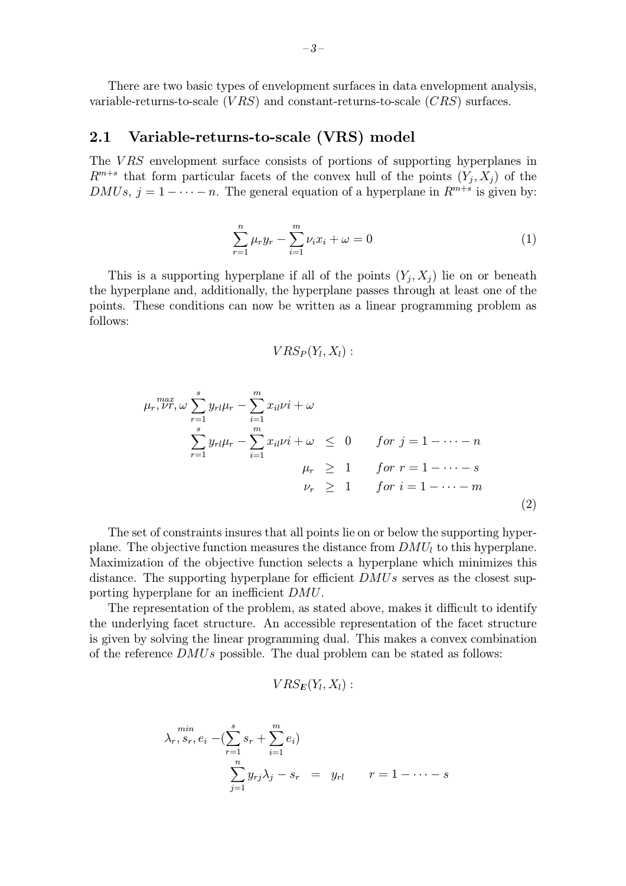There are two basic types of envelopment surfaces in data envelopment analysis, variable-returns-to-scale  $(VRS)$  and constant-returns-to-scale  $(CRS)$  surfaces.

#### 2.1 Variable-returns-to-scale (VRS) model

The VRS envelopment surface consists of portions of supporting hyperplanes in  $R^{m+s}$  that form particular facets of the convex hull of the points  $(Y_i, X_j)$  of the DMUs,  $j = 1 - \cdots - n$ . The general equation of a hyperplane in  $R^{m+s}$  is given by:

$$
\sum_{r=1}^{n} \mu_r y_r - \sum_{i=1}^{m} \nu_i x_i + \omega = 0 \tag{1}
$$

This is a supporting hyperplane if all of the points  $(Y_i, X_j)$  lie on or beneath the hyperplane and, additionally, the hyperplane passes through at least one of the points. These conditions can nowbe written as a linear programming problem as follows:

$$
VRS_P(Y_l,X_l):
$$

$$
\mu_r, \nu r, \omega \sum_{r=1}^{s} y_{rl} \mu_r - \sum_{i=1}^{m} x_{il} \nu i + \omega \n\sum_{r=1}^{s} y_{rl} \mu_r - \sum_{i=1}^{m} x_{il} \nu i + \omega \leq 0 \quad \text{for } j = 1 - \dots - n \n\mu_r \geq 1 \quad \text{for } r = 1 - \dots - s \n\nu_r \geq 1 \quad \text{for } i = 1 - \dots - m
$$
\n(2)

The set of constraints insures that all points lie on or belowthe supporting hyperplane. The objective function measures the distance from  $DMU<sub>l</sub>$  to this hyperplane. Maximization of the objective function selects a hyperplane which minimizes this distance. The supporting hyperplane for efficient  $DMUs$  serves as the closest supporting hyperplane for an inefficient DMU.

The representation of the problem, as stated above, makes it difficult to identify the underlying facet structure. An accessible representation of the facet structure is given by solving the linear programming dual. This makes a convex combination of the reference DMUs possible. The dual problem can be stated as follows:

$$
VRS_E(Y_l,X_l):
$$

$$
\chi_r, s_r, e_i - (\sum_{r=1}^s s_r + \sum_{i=1}^m e_i)
$$
  

$$
\sum_{j=1}^n y_{rj} \lambda_j - s_r = y_{rl} \qquad r = 1 - \dots - s
$$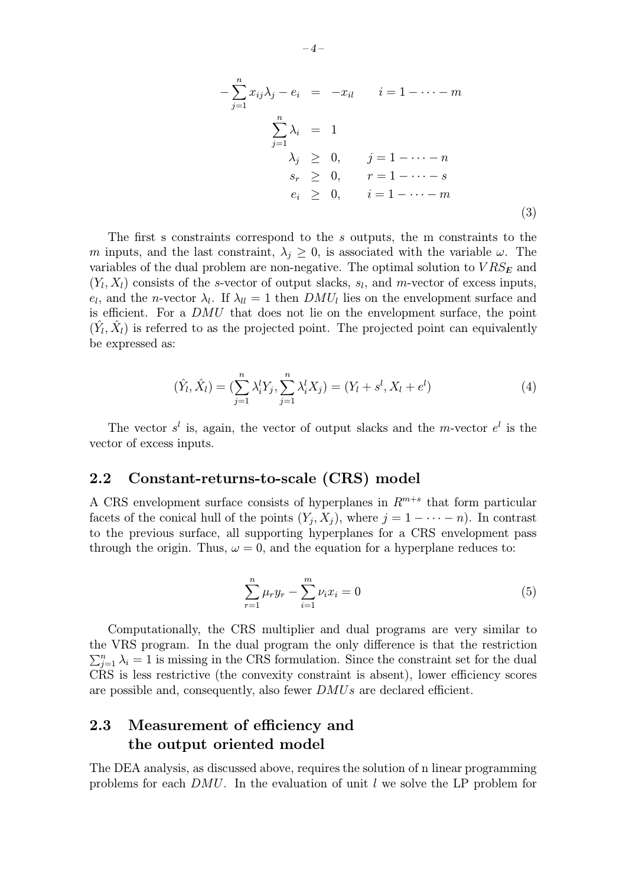$$
-\sum_{j=1}^{n} x_{ij} \lambda_j - e_i = -x_{il} \qquad i = 1 - \dots - m
$$
  

$$
\sum_{j=1}^{n} \lambda_i = 1
$$
  

$$
\lambda_j \geq 0, \qquad j = 1 - \dots - n
$$
  

$$
s_r \geq 0, \qquad r = 1 - \dots - s
$$
  

$$
e_i \geq 0, \qquad i = 1 - \dots - m
$$
  
(3)

The first s constraints correspond to the s outputs, the m constraints to the m inputs, and the last constraint,  $\lambda_i \geq 0$ , is associated with the variable  $\omega$ . The variables of the dual problem are non-negative. The optimal solution to  $VRS_E$  and  $(Y_l, X_l)$  consists of the s-vector of output slacks,  $s_l$ , and m-vector of excess inputs,  $e_l$ , and the *n*-vector  $\lambda_l$ . If  $\lambda_{ll} = 1$  then  $DMU_l$  lies on the envelopment surface and is efficient. For a DMU that does not lie on the envelopment surface, the point  $(\hat{Y}_l, \hat{X}_l)$  is referred to as the projected point. The projected point can equivalently be expressed as:

$$
(\hat{Y}_l, \hat{X}_l) = (\sum_{j=1}^n \lambda_i^l Y_j, \sum_{j=1}^n \lambda_i^l X_j) = (Y_l + s^l, X_l + e^l)
$$
\n(4)

The vector  $s^l$  is, again, the vector of output slacks and the m-vector  $e^l$  is the vector of excess inputs.

#### 2.2 Constant-returns-to-scale (CRS) model

A CRS envelopment surface consists of hyperplanes in  $R^{m+s}$  that form particular facets of the conical hull of the points  $(Y_j, X_j)$ , where  $j = 1 - \cdots - n$ ). In contrast to the previous surface, all supporting hyperplanes for a CRS envelopment pass through the origin. Thus,  $\omega = 0$ , and the equation for a hyperplane reduces to:

$$
\sum_{r=1}^{n} \mu_r y_r - \sum_{i=1}^{m} \nu_i x_i = 0 \tag{5}
$$

Computationally, the CRS multiplier and dual programs are very similar to the VRS program. In the dual program the only difference is that the restriction  $\sum_{j=1}^{n} \lambda_i = 1$  is missing in the CRS formulation. Since the constraint set for the dual CRS is less restrictive (the convexity constraint is absent), lower efficiency scores are possible and, consequently, also fewer DMUs are declared efficient.

#### 2.3 Measurement of efficiency and the output oriented model

The DEA analysis, as discussed above, requires the solution of n linear programming problems for each  $DMU$ . In the evaluation of unit l we solve the LP problem for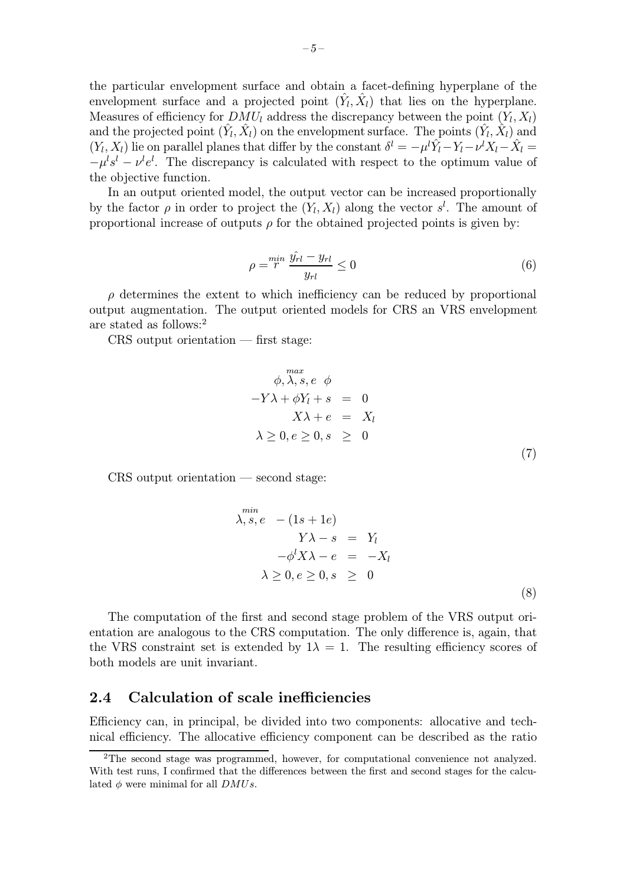the particular envelopment surface and obtain a facet-defining hyperplane of the envelopment surface and a projected point  $(\hat{Y}_l, \hat{X}_l)$  that lies on the hyperplane. Measures of efficiency for  $DMU_l$  address the discrepancy between the point  $(Y_l, X_l)$ and the projected point  $(\hat{Y}_l, \hat{X}_l)$  on the envelopment surface. The points  $(\hat{Y}_l, \hat{X}_l)$  and  $(Y_l, X_l)$  lie on parallel planes that differ by the constant  $\delta^l = -\mu^l \hat{Y}_l - Y_l - \nu^l X_l - \hat{X}_l =$  $-\mu^l s^l - \nu^l e^l$ . The discrepancy is calculated with respect to the optimum value of the objective function.

In an output oriented model, the output vector can be increased proportionally by the factor  $\rho$  in order to project the  $(Y_l, X_l)$  along the vector  $s^l$ . The amount of proportional increase of outputs  $\rho$  for the obtained projected points is given by:

$$
\rho = \stackrel{min}{r} \frac{\hat{y_{rl}} - y_{rl}}{y_{rl}} \le 0 \tag{6}
$$

 $\rho$  determines the extent to which inefficiency can be reduced by proportional output augmentation. The output oriented models for CRS an VRS envelopment are stated as follows:<sup>2</sup>

CRS output orientation — first stage:

$$
\begin{array}{rcl}\n& \phi, \lambda, s, e \phi \\
& -Y\lambda + \phi Y_l + s & = & 0 \\
& & X\lambda + e & = & X_l \\
& & \lambda \geq 0, e \geq 0, s \geq 0\n\end{array}
$$
\n(7)

CRS output orientation — second stage:

$$
\lambda, s, e - (1s + 1e)
$$
  
\n
$$
Y\lambda - s = Y_l
$$
  
\n
$$
-\phi^l X \lambda - e = -X_l
$$
  
\n
$$
\lambda \ge 0, e \ge 0, s \ge 0
$$
  
\n(8)

The computation of the first and second stage problem of the VRS output orientation are analogous to the CRS computation. The only difference is, again, that the VRS constraint set is extended by  $1\lambda = 1$ . The resulting efficiency scores of both models are unit invariant.

#### 2.4 Calculation of scale inefficiencies

Efficiency can, in principal, be divided into two components: allocative and technical efficiency. The allocative efficiency component can be described as the ratio

<sup>2</sup>The second stage was programmed, however, for computational convenience not analyzed. With test runs, I confirmed that the differences between the first and second stages for the calculated  $\phi$  were minimal for all  $DMUs$ .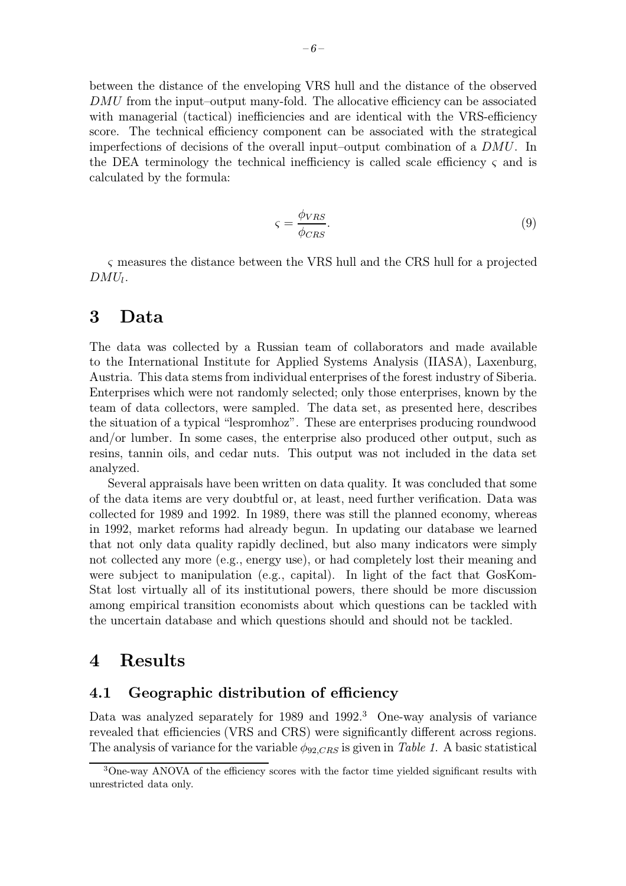between the distance of the enveloping VRS hull and the distance of the observed DMU from the input–output many-fold. The allocative efficiency can be associated with managerial (tactical) inefficiencies and are identical with the VRS-efficiency score. The technical efficiency component can be associated with the strategical imperfections of decisions of the overall input–output combination of a DMU. In the DEA terminology the technical inefficiency is called scale efficiency  $\varsigma$  and is calculated by the formula:

$$
\varsigma = \frac{\phi_{VRS}}{\phi_{CRS}}.\tag{9}
$$

ς measures the distance between the VRS hull and the CRS hull for a projected  $DMU_l$ .

#### 3 Data

The data was collected by a Russian team of collaborators and made available to the International Institute for Applied Systems Analysis (IIASA), Laxenburg, Austria. This data stems from individual enterprises of the forest industry of Siberia. Enterprises which were not randomly selected; only those enterprises, known by the team of data collectors, were sampled. The data set, as presented here, describes the situation of a typical "lespromhoz". These are enterprises producing roundwood and/or lumber. In some cases, the enterprise also produced other output, such as resins, tannin oils, and cedar nuts. This output was not included in the data set analyzed.

Several appraisals have been written on data quality. It was concluded that some of the data items are very doubtful or, at least, need further verification. Data was collected for 1989 and 1992. In 1989, there was still the planned economy, whereas in 1992, market reforms had already begun. In updating our database we learned that not only data quality rapidly declined, but also many indicators were simply not collected any more (e.g., energy use), or had completely lost their meaning and were subject to manipulation (e.g., capital). In light of the fact that GosKom-Stat lost virtually all of its institutional powers, there should be more discussion among empirical transition economists about which questions can be tackled with the uncertain database and which questions should and should not be tackled.

## 4 Results

#### 4.1 Geographic distribution of efficiency

Data was analyzed separately for  $1989$  and  $1992<sup>3</sup>$  One-way analysis of variance revealed that efficiencies (VRS and CRS) were significantly different across regions. The analysis of variance for the variable  $\phi_{92,CRS}$  is given in Table 1. A basic statistical

<sup>3</sup>One-way ANOVA of the efficiency scores with the factor time yielded significant results with unrestricted data only.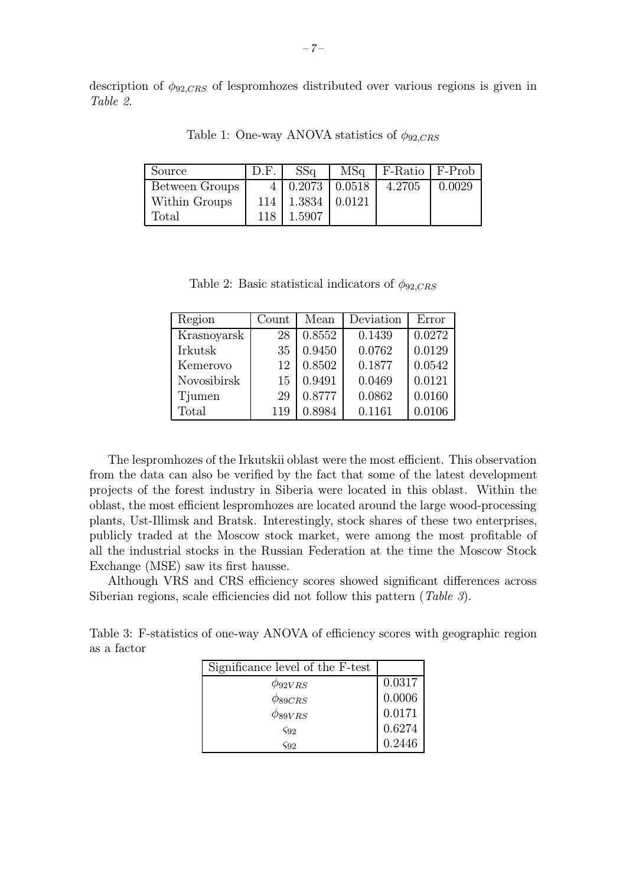description of  $\phi_{92,CRS}$  of lespromhozes distributed over various regions is given in Table 2.

| Source               | D.F. | SSq                              | $MSq \mid$ F-Ratio $\mid$ F-Prob |        |
|----------------------|------|----------------------------------|----------------------------------|--------|
| Between Groups       |      | $4 \mid 0.2073 \mid 0.0518 \mid$ | 4.2705                           | 0.0029 |
| <b>Within Groups</b> |      | $114 \mid 1.3834 \mid 0.0121$    |                                  |        |
| Total                | 118  | 1.5907                           |                                  |        |

Table 1: One-way ANOVA statistics of  $\phi_{92,CRS}$ 

Table 2: Basic statistical indicators of  $\phi_{92,CRS}$ 

| Region      | Count | Mean   | Deviation | Error  |
|-------------|-------|--------|-----------|--------|
| Krasnoyarsk | 28    | 0.8552 | 0.1439    | 0.0272 |
| Irkutsk     | 35    | 0.9450 | 0.0762    | 0.0129 |
| Kemerovo    | 12    | 0.8502 | 0.1877    | 0.0542 |
| Novosibirsk | 15    | 0.9491 | 0.0469    | 0.0121 |
| Tjumen      | 29    | 0.8777 | 0.0862    | 0.0160 |
| Total       | 119   | 0.8984 | 0.1161    | 0.0106 |

The lespromhozes of the Irkutskii oblast were the most efficient. This observation from the data can also be verified by the fact that some of the latest development projects of the forest industry in Siberia were located in this oblast. Within the oblast, the most efficient lespromhozes are located around the large wood-processing plants, Ust-Illimsk and Bratsk. Interestingly, stock shares of these two enterprises, publicly traded at the Moscow stock market, were among the most profitable of all the industrial stocks in the Russian Federation at the time the Moscow Stock Exchange (MSE) sawits first hausse.

Although VRS and CRS efficiency scores showed significant differences across Siberian regions, scale efficiencies did not follow this pattern (Table 3).

Table 3: F-statistics of one-way ANOVA of efficiency scores with geographic region as a factor

| Significance level of the F-test |        |
|----------------------------------|--------|
| $\phi_{92VRS}$                   | 0.0317 |
| $\phi_{89CRS}$                   | 0.0006 |
| $\phi_{89VRS}$                   | 0.0171 |
| $\zeta$ 92                       | 0.6274 |
| <b>S92</b>                       | 0.2446 |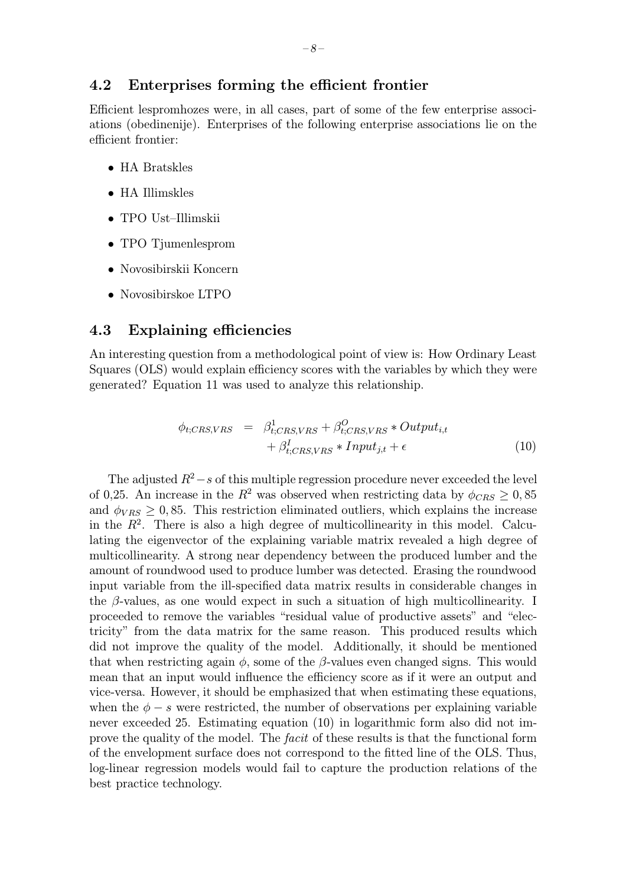Efficient lespromhozes were, in all cases, part of some of the few enterprise associations (obedinenije). Enterprises of the following enterprise associations lie on the efficient frontier:

- HA Bratskles
- HA Illimskles
- TPO Ust–Illimskii
- TPO Tjumenlesprom
- Novosibirskii Koncern
- Novosibirskoe LTPO

#### 4.3 Explaining efficiencies

An interesting question from a methodological point of viewis: HowOrdinary Least Squares (OLS) would explain efficiency scores with the variables by which they were generated? Equation 11 was used to analyze this relationship.

$$
\phi_{t;CRS,VRS} = \beta_{t;CRS,VRS}^{1} + \beta_{t;CRS,VRS}^{O} * Output_{i,t} \n+ \beta_{t;CRS,VRS}^{I} * Input_{j,t} + \epsilon
$$
\n(10)

The adjusted  $R^2 - s$  of this multiple regression procedure never exceeded the level of 0,25. An increase in the  $R^2$  was observed when restricting data by  $\phi_{CRS} \geq 0,85$ and  $\phi_{VRS} \geq 0.85$ . This restriction eliminated outliers, which explains the increase in the  $R<sup>2</sup>$ . There is also a high degree of multicollinearity in this model. Calculating the eigenvector of the explaining variable matrix revealed a high degree of multicollinearity. A strong near dependency between the produced lumber and the amount of roundwood used to produce lumber was detected. Erasing the roundwood input variable from the ill-specified data matrix results in considerable changes in the  $\beta$ -values, as one would expect in such a situation of high multicollinearity. I proceeded to remove the variables "residual value of productive assets" and "electricity" from the data matrix for the same reason. This produced results which did not improve the quality of the model. Additionally, it should be mentioned that when restricting again  $\phi$ , some of the  $\beta$ -values even changed signs. This would mean that an input would influence the efficiency score as if it were an output and vice-versa. However, it should be emphasized that when estimating these equations, when the  $\phi - s$  were restricted, the number of observations per explaining variable never exceeded 25. Estimating equation (10) in logarithmic form also did not improve the quality of the model. The *facit* of these results is that the functional form of the envelopment surface does not correspond to the fitted line of the OLS. Thus, log-linear regression models would fail to capture the production relations of the best practice technology.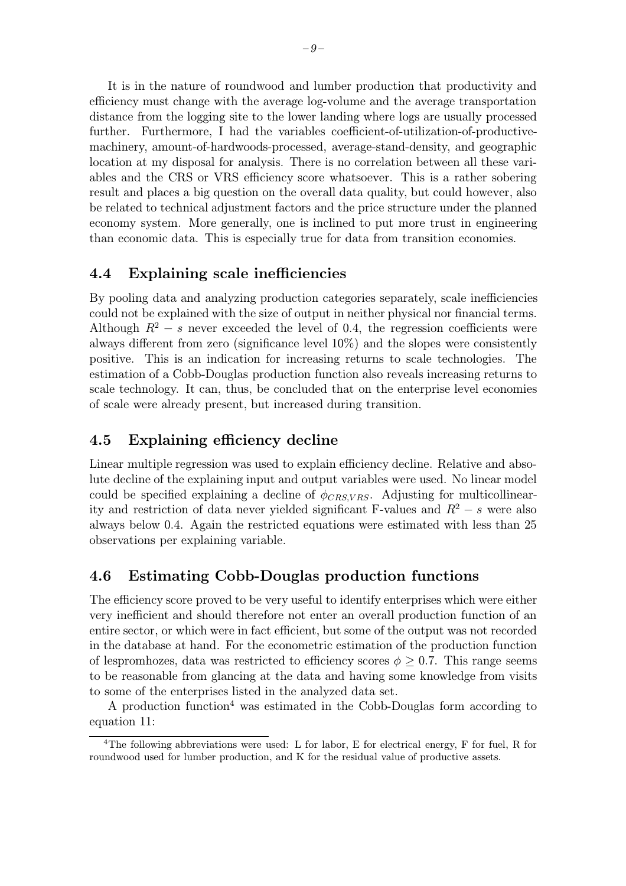It is in the nature of roundwood and lumber production that productivity and efficiency must change with the average log-volume and the average transportation distance from the logging site to the lower landing where logs are usually processed further. Furthermore, I had the variables coefficient-of-utilization-of-productivemachinery, amount-of-hardwoods-processed, average-stand-density, and geographic location at my disposal for analysis. There is no correlation between all these variables and the CRS or VRS efficiency score whatsoever. This is a rather sobering result and places a big question on the overall data quality, but could however, also be related to technical adjustment factors and the price structure under the planned economy system. More generally, one is inclined to put more trust in engineering than economic data. This is especially true for data from transition economies.

#### 4.4 Explaining scale inefficiencies

By pooling data and analyzing production categories separately, scale inefficiencies could not be explained with the size of output in neither physical nor financial terms. Although  $R^2 - s$  never exceeded the level of 0.4, the regression coefficients were always different from zero (significance level 10%) and the slopes were consistently positive. This is an indication for increasing returns to scale technologies. The estimation of a Cobb-Douglas production function also reveals increasing returns to scale technology. It can, thus, be concluded that on the enterprise level economies of scale were already present, but increased during transition.

## 4.5 Explaining efficiency decline

Linear multiple regression was used to explain efficiency decline. Relative and absolute decline of the explaining input and output variables were used. No linear model could be specified explaining a decline of  $\phi_{CRSVRS}$ . Adjusting for multicollinearity and restriction of data never yielded significant F-values and  $R^2 - s$  were also always below 0.4. Again the restricted equations were estimated with less than 25 observations per explaining variable.

## 4.6 Estimating Cobb-Douglas production functions

The efficiency score proved to be very useful to identify enterprises which were either very inefficient and should therefore not enter an overall production function of an entire sector, or which were in fact efficient, but some of the output was not recorded in the database at hand. For the econometric estimation of the production function of lespromhozes, data was restricted to efficiency scores  $\phi \geq 0.7$ . This range seems to be reasonable from glancing at the data and having some knowledge from visits to some of the enterprises listed in the analyzed data set.

A production function<sup>4</sup> was estimated in the Cobb-Douglas form according to equation 11:

<sup>&</sup>lt;sup>4</sup>The following abbreviations were used: L for labor, E for electrical energy, F for fuel, R for roundwood used for lumber production, and K for the residual value of productive assets.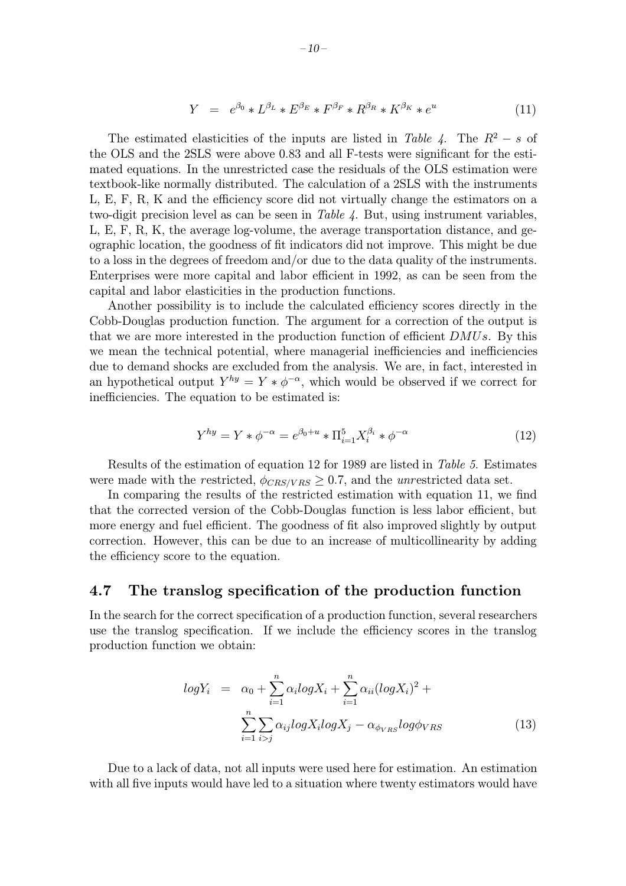$$
Y = e^{\beta_0} * L^{\beta_L} * E^{\beta_E} * F^{\beta_F} * R^{\beta_R} * K^{\beta_K} * e^u \tag{11}
$$

The estimated elasticities of the inputs are listed in Table 4. The  $R^2 - s$  of the OLS and the 2SLS were above 0.83 and all F-tests were significant for the estimated equations. In the unrestricted case the residuals of the OLS estimation were textbook-like normally distributed. The calculation of a 2SLS with the instruments L, E, F, R, K and the efficiency score did not virtually change the estimators on a two-digit precision level as can be seen in Table 4. But, using instrument variables, L, E, F, R, K, the average log-volume, the average transportation distance, and geographic location, the goodness of fit indicators did not improve. This might be due to a loss in the degrees of freedom and/or due to the data quality of the instruments. Enterprises were more capital and labor efficient in 1992, as can be seen from the capital and labor elasticities in the production functions.

Another possibility is to include the calculated efficiency scores directly in the Cobb-Douglas production function. The argument for a correction of the output is that we are more interested in the production function of efficient DMUs. By this we mean the technical potential, where managerial inefficiencies and inefficiencies due to demand shocks are excluded from the analysis. We are, in fact, interested in an hypothetical output  $Y^{hy} = Y * \phi^{-\alpha}$ , which would be observed if we correct for inefficiencies. The equation to be estimated is:

$$
Y^{hy} = Y * \phi^{-\alpha} = e^{\beta_0 + u} * \Pi_{i=1}^5 X_i^{\beta_i} * \phi^{-\alpha}
$$
\n(12)

Results of the estimation of equation 12 for 1989 are listed in Table 5. Estimates were made with the restricted,  $\phi_{CRS/VRS} \geq 0.7$ , and the unrestricted data set.

In comparing the results of the restricted estimation with equation 11, we find that the corrected version of the Cobb-Douglas function is less labor efficient, but more energy and fuel efficient. The goodness of fit also improved slightly by output correction. However, this can be due to an increase of multicollinearity by adding the efficiency score to the equation.

#### 4.7 The translog specification of the production function

In the search for the correct specification of a production function, several researchers use the translog specification. If we include the efficiency scores in the translog production function we obtain:

$$
logY_i = \alpha_0 + \sum_{i=1}^n \alpha_i logX_i + \sum_{i=1}^n \alpha_{ii} (logX_i)^2 + \sum_{i=1}^n \sum_{i>j} \alpha_{ij} logX_i logX_j - \alpha_{\phi_{VRS}} log\phi_{VRS}
$$
\n(13)

Due to a lack of data, not all inputs were used here for estimation. An estimation with all five inputs would have led to a situation where twenty estimators would have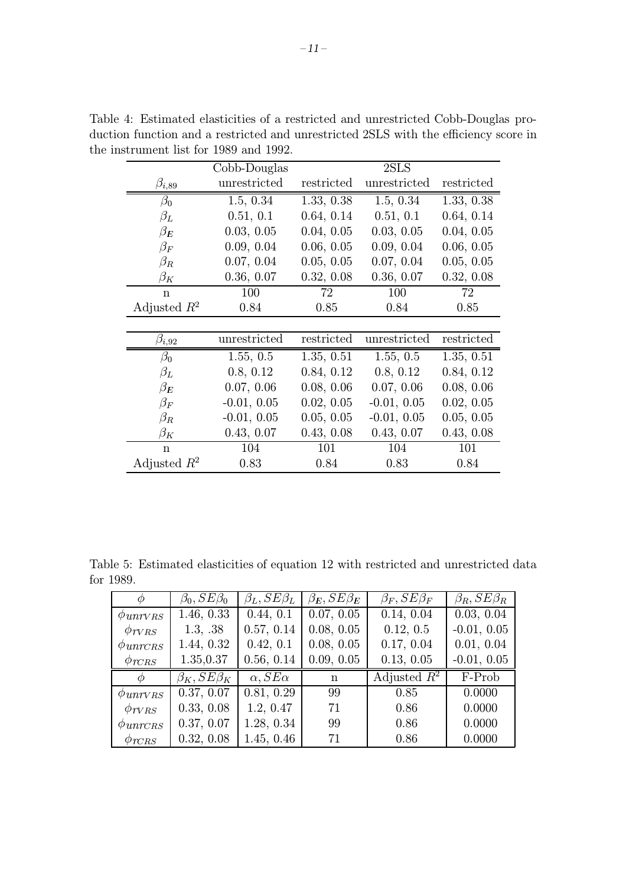|                | Cobb-Douglas  |            | 2SLS          |            |  |
|----------------|---------------|------------|---------------|------------|--|
| $\beta_{i,89}$ | unrestricted  | restricted | unrestricted  | restricted |  |
| $\beta_0$      | 1.5, 0.34     | 1.33, 0.38 | 1.5, 0.34     | 1.33, 0.38 |  |
| $\beta_L$      | 0.51, 0.1     | 0.64, 0.14 | 0.51, 0.1     | 0.64, 0.14 |  |
| $\beta_E$      | 0.03, 0.05    | 0.04, 0.05 | 0.03, 0.05    | 0.04, 0.05 |  |
| $\beta_F$      | 0.09, 0.04    | 0.06, 0.05 | 0.09, 0.04    | 0.06, 0.05 |  |
| $\beta_R$      | 0.07, 0.04    | 0.05, 0.05 | 0.07, 0.04    | 0.05, 0.05 |  |
| $\beta_K$      | 0.36, 0.07    | 0.32, 0.08 | 0.36, 0.07    | 0.32, 0.08 |  |
| $\mathbf n$    | 100           | 72         | 100           | 72         |  |
| Adjusted $R^2$ | 0.84          | 0.85       | 0.84          | 0.85       |  |
|                |               |            |               |            |  |
| $\beta_{i,92}$ | unrestricted  | restricted | unrestricted  | restricted |  |
| $\beta_0$      | 1.55, 0.5     | 1.35, 0.51 | 1.55, 0.5     | 1.35, 0.51 |  |
| $\beta_L$      | 0.8, 0.12     | 0.84, 0.12 | 0.8, 0.12     | 0.84, 0.12 |  |
| $\beta_E$      | 0.07, 0.06    | 0.08, 0.06 | 0.07, 0.06    | 0.08, 0.06 |  |
| $\beta_F$      | $-0.01, 0.05$ | 0.02, 0.05 | $-0.01, 0.05$ | 0.02, 0.05 |  |
| $\beta_R$      | $-0.01, 0.05$ | 0.05, 0.05 | $-0.01, 0.05$ | 0.05, 0.05 |  |
| $\beta_K$      | 0.43, 0.07    | 0.43, 0.08 | 0.43, 0.07    | 0.43, 0.08 |  |
| $\mathbf n$    | 104           | 101        | 104           | 101        |  |
| Adjusted $R^2$ | 0.83          | 0.84       | 0.83          | 0.84       |  |

Table 4: Estimated elasticities of a restricted and unrestricted Cobb-Douglas production function and a restricted and unrestricted 2SLS with the efficiency score in the instrument list for 1989 and 1992.

|           |  |  |  |  | Table 5: Estimated elasticities of equation 12 with restricted and unrestricted data |  |
|-----------|--|--|--|--|--------------------------------------------------------------------------------------|--|
| for 1989. |  |  |  |  |                                                                                      |  |

| $\varphi$           | $\beta_0, SE\beta_0$ | $\beta_L, SE\beta_L$ | $\beta_E$ , $SE\beta_E$ | $\beta_F$ , $SE\beta_F$ | $\beta_R, SE\beta_R$ |
|---------------------|----------------------|----------------------|-------------------------|-------------------------|----------------------|
| $\phi_{unrvRS}$     | 1.46, 0.33           | 0.44, 0.1            | 0.07, 0.05              | 0.14, 0.04              | 0.03, 0.04           |
| $\phi_{TVRS}$       | 1.3, .38             | 0.57, 0.14           | 0.08, 0.05              | 0.12, 0.5               | $-0.01, 0.05$        |
| $\phi_{\rm unrcns}$ | 1.44, 0.32           | 0.42, 0.1            | 0.08, 0.05              | 0.17, 0.04              | 0.01, 0.04           |
| $\phi_{TCRS}$       | 1.35,0.37            | 0.56, 0.14           | 0.09, 0.05              | 0.13, 0.05              | $-0.01, 0.05$        |
| $\phi$              | $\beta_K, SE\beta_K$ | $\alpha, SE\alpha$   | n                       | Adjusted $R^2$          | F-Prob               |
| $\phi_{unrVRS}$     | 0.37, 0.07           | 0.81, 0.29           | 99                      | 0.85                    | 0.0000               |
| $\phi_{TVRS}$       | 0.33, 0.08           | 1.2, 0.47            | 71                      | 0.86                    | 0.0000               |
| $\phi_{\rm unrcns}$ | 0.37, 0.07           | 1.28, 0.34           | 99                      | 0.86                    | 0.0000               |
| $\phi_{TCRS}$       | 0.32, 0.08           | 1.45, 0.46           | 71                      | 0.86                    | 0.0000               |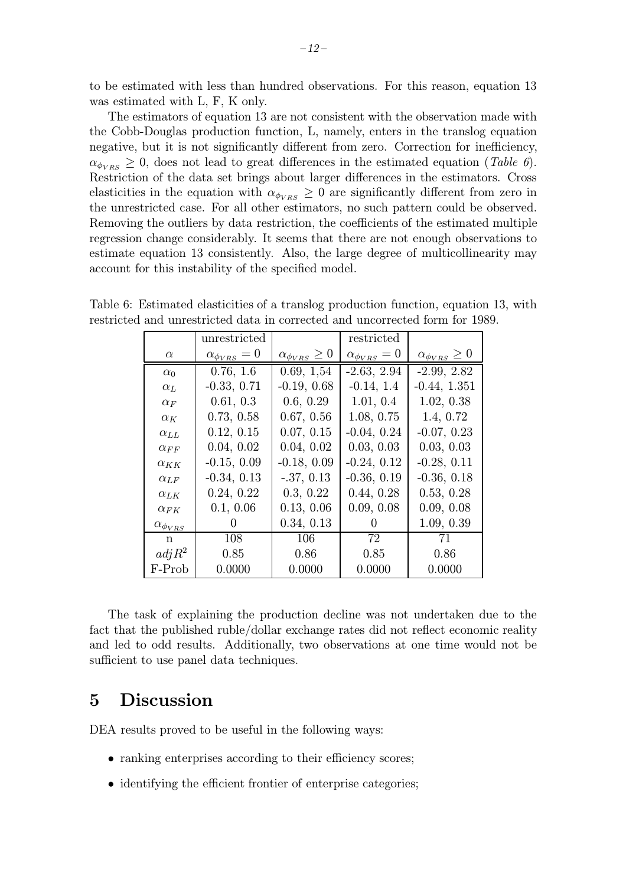to be estimated with less than hundred observations. For this reason, equation 13 was estimated with L, F, K only.

The estimators of equation 13 are not consistent with the observation made with the Cobb-Douglas production function, L, namely, enters in the translog equation negative, but it is not significantly different from zero. Correction for inefficiency,  $\alpha_{\phi_{VBS}} \geq 0$ , does not lead to great differences in the estimated equation (Table 6). Restriction of the data set brings about larger differences in the estimators. Cross elasticities in the equation with  $\alpha_{\phi_{VBS}} \geq 0$  are significantly different from zero in the unrestricted case. For all other estimators, no such pattern could be observed. Removing the outliers by data restriction, the coefficients of the estimated multiple regression change considerably. It seems that there are not enough observations to estimate equation 13 consistently. Also, the large degree of multicollinearity may account for this instability of the specified model.

|                       | unrestricted              |                              | restricted                |                              |
|-----------------------|---------------------------|------------------------------|---------------------------|------------------------------|
| $\alpha$              | $\alpha_{\phi_{VRS}} = 0$ | $\alpha_{\phi_{VRS}} \geq 0$ | $\alpha_{\phi_{VRS}} = 0$ | $\alpha_{\phi_{VRS}} \geq 0$ |
| $\alpha_0$            | 0.76, 1.6                 | 0.69, 1.54                   | $-2.63, 2.94$             | $-2.99, 2.82$                |
| $\alpha_L$            | $-0.33, 0.71$             | $-0.19, 0.68$                | $-0.14, 1.4$              | $-0.44, 1.351$               |
| $\alpha_F$            | 0.61, 0.3                 | 0.6, 0.29                    | 1.01, 0.4                 | 1.02, 0.38                   |
| $\alpha_K$            | 0.73, 0.58                | 0.67, 0.56                   | 1.08, 0.75                | 1.4, 0.72                    |
| $\alpha_{LL}$         | 0.12, 0.15                | 0.07, 0.15                   | $-0.04, 0.24$             | $-0.07, 0.23$                |
| $\alpha_{FF}$         | 0.04, 0.02                | 0.04, 0.02                   | 0.03, 0.03                | 0.03, 0.03                   |
| $\alpha_{KK}$         | $-0.15, 0.09$             | $-0.18, 0.09$                | $-0.24, 0.12$             | $-0.28, 0.11$                |
| $\alpha_{LF}$         | $-0.34, 0.13$             | $-.37, 0.13$                 | $-0.36, 0.19$             | $-0.36, 0.18$                |
| $\alpha_{LK}$         | 0.24, 0.22                | 0.3, 0.22                    | 0.44, 0.28                | 0.53, 0.28                   |
| $\alpha_{FK}$         | 0.1, 0.06                 | 0.13, 0.06                   | 0.09, 0.08                | 0.09, 0.08                   |
| $\alpha_{\phi_{VRS}}$ | $\theta$                  | 0.34, 0.13                   | $\left( \right)$          | 1.09, 0.39                   |
| n                     | 108                       | 106                          | 72                        | 71                           |
| adj R <sup>2</sup>    | 0.85                      | 0.86                         | 0.85                      | 0.86                         |
| F-Prob                | 0.0000                    | 0.0000                       | 0.0000                    | 0.0000                       |

Table 6: Estimated elasticities of a translog production function, equation 13, with restricted and unrestricted data in corrected and uncorrected form for 1989.

The task of explaining the production decline was not undertaken due to the fact that the published ruble/dollar exchange rates did not reflect economic reality and led to odd results. Additionally, two observations at one time would not be sufficient to use panel data techniques.

## 5 Discussion

DEA results proved to be useful in the following ways:

- ranking enterprises according to their efficiency scores;
- identifying the efficient frontier of enterprise categories;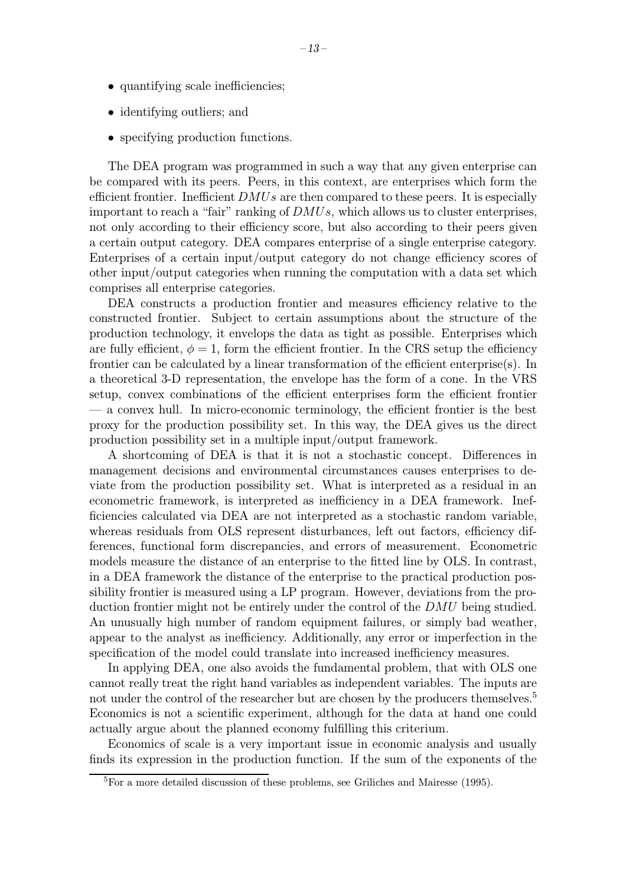- quantifying scale inefficiencies;
- identifying outliers; and
- specifying production functions.

The DEA program was programmed in such a way that any given enterprise can be compared with its peers. Peers, in this context, are enterprises which form the efficient frontier. Inefficient  $DMUs$  are then compared to these peers. It is especially important to reach a "fair" ranking of  $DMUs$ , which allows us to cluster enterprises, not only according to their efficiency score, but also according to their peers given a certain output category. DEA compares enterprise of a single enterprise category. Enterprises of a certain input/output category do not change efficiency scores of other input/output categories when running the computation with a data set which comprises all enterprise categories.

DEA constructs a production frontier and measures efficiency relative to the constructed frontier. Subject to certain assumptions about the structure of the production technology, it envelops the data as tight as possible. Enterprises which are fully efficient,  $\phi = 1$ , form the efficient frontier. In the CRS setup the efficiency frontier can be calculated by a linear transformation of the efficient enterprise(s). In a theoretical 3-D representation, the envelope has the form of a cone. In the VRS setup, convex combinations of the efficient enterprises form the efficient frontier — a convex hull. In micro-economic terminology, the efficient frontier is the best proxy for the production possibility set. In this way, the DEA gives us the direct production possibility set in a multiple input/output framework.

A shortcoming of DEA is that it is not a stochastic concept. Differences in management decisions and environmental circumstances causes enterprises to deviate from the production possibility set. What is interpreted as a residual in an econometric framework, is interpreted as inefficiency in a DEA framework. Inefficiencies calculated via DEA are not interpreted as a stochastic random variable, whereas residuals from OLS represent disturbances, left out factors, efficiency differences, functional form discrepancies, and errors of measurement. Econometric models measure the distance of an enterprise to the fitted line by OLS. In contrast, in a DEA framework the distance of the enterprise to the practical production possibility frontier is measured using a LP program. However, deviations from the production frontier might not be entirely under the control of the DMU being studied. An unusually high number of random equipment failures, or simply bad weather, appear to the analyst as inefficiency. Additionally, any error or imperfection in the specification of the model could translate into increased inefficiency measures.

In applying DEA, one also avoids the fundamental problem, that with OLS one cannot really treat the right hand variables as independent variables. The inputs are not under the control of the researcher but are chosen by the producers themselves.<sup>5</sup> Economics is not a scientific experiment, although for the data at hand one could actually argue about the planned economy fulfilling this criterium.

Economics of scale is a very important issue in economic analysis and usually finds its expression in the production function. If the sum of the exponents of the

<sup>5</sup>For a more detailed discussion of these problems, see Griliches and Mairesse (1995).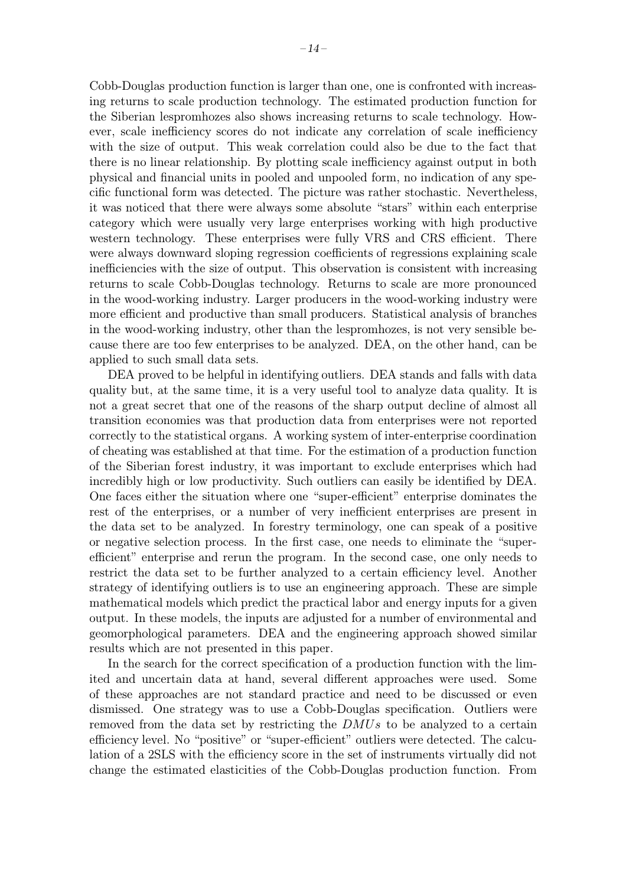Cobb-Douglas production function is larger than one, one is confronted with increasing returns to scale production technology. The estimated production function for the Siberian lespromhozes also shows increasing returns to scale technology. However, scale inefficiency scores do not indicate any correlation of scale inefficiency with the size of output. This weak correlation could also be due to the fact that there is no linear relationship. By plotting scale inefficiency against output in both physical and financial units in pooled and unpooled form, no indication of any specific functional form was detected. The picture was rather stochastic. Nevertheless, it was noticed that there were always some absolute "stars" within each enterprise category which were usually very large enterprises working with high productive western technology. These enterprises were fully VRS and CRS efficient. There were always downward sloping regression coefficients of regressions explaining scale inefficiencies with the size of output. This observation is consistent with increasing returns to scale Cobb-Douglas technology. Returns to scale are more pronounced in the wood-working industry. Larger producers in the wood-working industry were more efficient and productive than small producers. Statistical analysis of branches in the wood-working industry, other than the lespromhozes, is not very sensible because there are too fewenterprises to be analyzed. DEA, on the other hand, can be applied to such small data sets.

DEA proved to be helpful in identifying outliers. DEA stands and falls with data quality but, at the same time, it is a very useful tool to analyze data quality. It is not a great secret that one of the reasons of the sharp output decline of almost all transition economies was that production data from enterprises were not reported correctly to the statistical organs. A working system of inter-enterprise coordination of cheating was established at that time. For the estimation of a production function of the Siberian forest industry, it was important to exclude enterprises which had incredibly high or low productivity. Such outliers can easily be identified by DEA. One faces either the situation where one "super-efficient" enterprise dominates the rest of the enterprises, or a number of very inefficient enterprises are present in the data set to be analyzed. In forestry terminology, one can speak of a positive or negative selection process. In the first case, one needs to eliminate the "superefficient" enterprise and rerun the program. In the second case, one only needs to restrict the data set to be further analyzed to a certain efficiency level. Another strategy of identifying outliers is to use an engineering approach. These are simple mathematical models which predict the practical labor and energy inputs for a given output. In these models, the inputs are adjusted for a number of environmental and geomorphological parameters. DEA and the engineering approach showed similar results which are not presented in this paper.

In the search for the correct specification of a production function with the limited and uncertain data at hand, several different approaches were used. Some of these approaches are not standard practice and need to be discussed or even dismissed. One strategy was to use a Cobb-Douglas specification. Outliers were removed from the data set by restricting the  $DMUs$  to be analyzed to a certain efficiency level. No "positive" or "super-efficient" outliers were detected. The calculation of a 2SLS with the efficiency score in the set of instruments virtually did not change the estimated elasticities of the Cobb-Douglas production function. From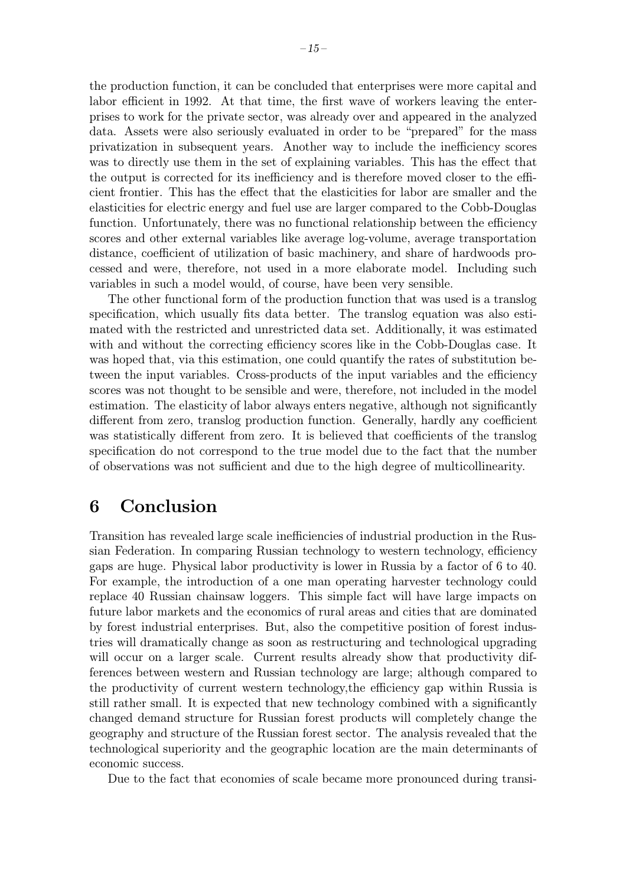the production function, it can be concluded that enterprises were more capital and labor efficient in 1992. At that time, the first wave of workers leaving the enterprises to work for the private sector, was already over and appeared in the analyzed data. Assets were also seriously evaluated in order to be "prepared" for the mass privatization in subsequent years. Another way to include the inefficiency scores was to directly use them in the set of explaining variables. This has the effect that the output is corrected for its inefficiency and is therefore moved closer to the efficient frontier. This has the effect that the elasticities for labor are smaller and the elasticities for electric energy and fuel use are larger compared to the Cobb-Douglas function. Unfortunately, there was no functional relationship between the efficiency scores and other external variables like average log-volume, average transportation distance, coefficient of utilization of basic machinery, and share of hardwoods processed and were, therefore, not used in a more elaborate model. Including such variables in such a model would, of course, have been very sensible.

The other functional form of the production function that was used is a translog specification, which usually fits data better. The translog equation was also estimated with the restricted and unrestricted data set. Additionally, it was estimated with and without the correcting efficiency scores like in the Cobb-Douglas case. It was hoped that, via this estimation, one could quantify the rates of substitution between the input variables. Cross-products of the input variables and the efficiency scores was not thought to be sensible and were, therefore, not included in the model estimation. The elasticity of labor always enters negative, although not significantly different from zero, translog production function. Generally, hardly any coefficient was statistically different from zero. It is believed that coefficients of the translog specification do not correspond to the true model due to the fact that the number of observations was not sufficient and due to the high degree of multicollinearity.

## 6 Conclusion

Transition has revealed large scale inefficiencies of industrial production in the Russian Federation. In comparing Russian technology to western technology, efficiency gaps are huge. Physical labor productivity is lower in Russia by a factor of 6 to 40. For example, the introduction of a one man operating harvester technology could replace 40 Russian chainsaw loggers. This simple fact will have large impacts on future labor markets and the economics of rural areas and cities that are dominated by forest industrial enterprises. But, also the competitive position of forest industries will dramatically change as soon as restructuring and technological upgrading will occur on a larger scale. Current results already show that productivity differences between western and Russian technology are large; although compared to the productivity of current western technology,the efficiency gap within Russia is still rather small. It is expected that newtechnology combined with a significantly changed demand structure for Russian forest products will completely change the geography and structure of the Russian forest sector. The analysis revealed that the technological superiority and the geographic location are the main determinants of economic success.

Due to the fact that economies of scale became more pronounced during transi-